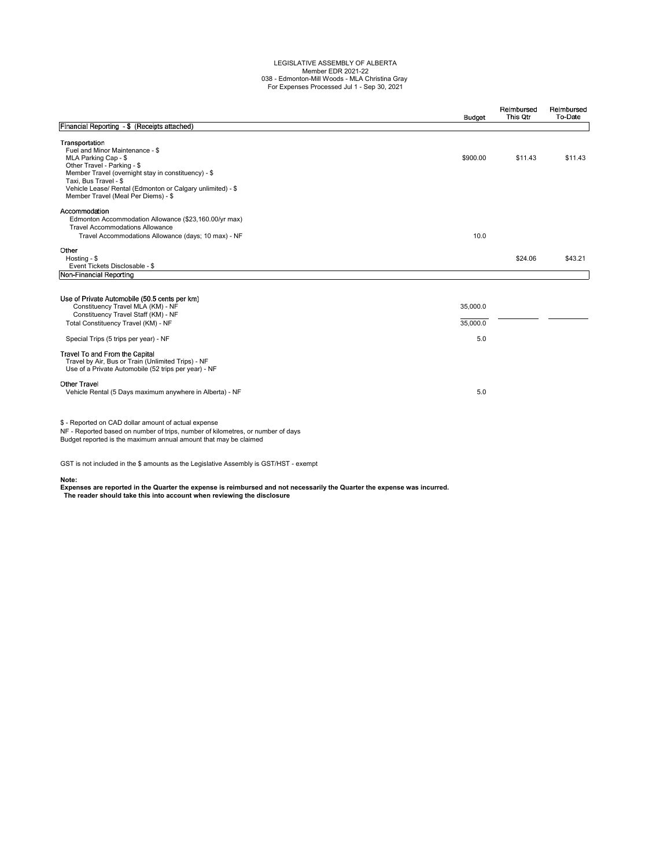## LEGISLATIVE ASSEMBLY OF ALBERTA Member EDR 2021-22 038 - Edmonton-Mill Woods - MLA Christina Gray For Expenses Processed Jul 1 - Sep 30, 2021

|                                                                                                                                                                                                                                                                                               | <b>Budget</b>               | Reimbursed<br>This Qtr | Reimbursed<br>To-Date |
|-----------------------------------------------------------------------------------------------------------------------------------------------------------------------------------------------------------------------------------------------------------------------------------------------|-----------------------------|------------------------|-----------------------|
| Financial Reporting - \$ (Receipts attached)                                                                                                                                                                                                                                                  |                             |                        |                       |
| Transportation<br>Fuel and Minor Maintenance - \$<br>MLA Parking Cap - \$<br>Other Travel - Parking - \$<br>Member Travel (overnight stay in constituency) - \$<br>Taxi, Bus Travel - \$<br>Vehicle Lease/ Rental (Edmonton or Calgary unlimited) - \$<br>Member Travel (Meal Per Diems) - \$ | \$900.00                    | \$11.43                | \$11.43               |
| Accommodation<br>Edmonton Accommodation Allowance (\$23,160.00/yr max)<br><b>Travel Accommodations Allowance</b><br>Travel Accommodations Allowance (days; 10 max) - NF                                                                                                                       | 10.0                        |                        |                       |
| Other<br>Hosting - \$<br>Event Tickets Disclosable - \$                                                                                                                                                                                                                                       |                             | \$24.06                | \$43.21               |
| Non-Financial Reporting                                                                                                                                                                                                                                                                       |                             |                        |                       |
| Use of Private Automobile (50.5 cents per km)<br>Constituency Travel MLA (KM) - NF<br>Constituency Travel Staff (KM) - NF<br>Total Constituency Travel (KM) - NF<br>Special Trips (5 trips per year) - NF                                                                                     | 35,000.0<br>35,000.0<br>5.0 |                        |                       |
| Travel To and From the Capital<br>Travel by Air, Bus or Train (Unlimited Trips) - NF<br>Use of a Private Automobile (52 trips per year) - NF                                                                                                                                                  |                             |                        |                       |
| <b>Other Travel</b><br>Vehicle Rental (5 Days maximum anywhere in Alberta) - NF                                                                                                                                                                                                               | 5.0                         |                        |                       |
| \$ - Reported on CAD dollar amount of actual expense<br>NF - Reported based on number of trips, number of kilometres, or number of days<br>Budget reported is the maximum annual amount that may be claimed                                                                                   |                             |                        |                       |

GST is not included in the \$ amounts as the Legislative Assembly is GST/HST - exempt

**Note: Expenses are reported in the Quarter the expense is reimbursed and not necessarily the Quarter the expense was incurred. The reader should take this into account when reviewing the disclosure**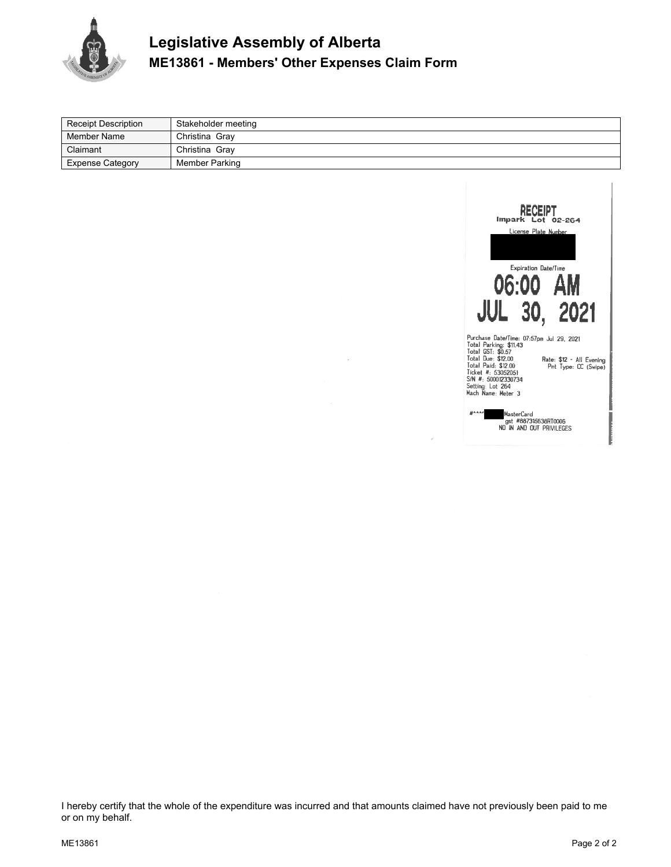

| <b>Receipt Description</b> | Stakeholder meeting |
|----------------------------|---------------------|
| Member Name                | Christina Gray      |
| Claimant                   | Christina Gray      |
| <b>Expense Category</b>    | Member Parking      |



I hereby certify that the whole of the expenditure was incurred and that amounts claimed have not previously been paid to me or on my behalf.